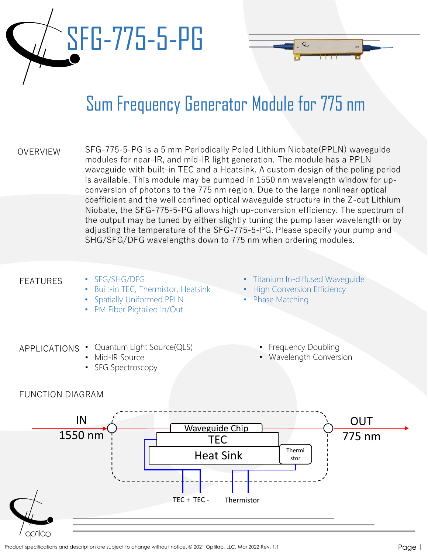# SFG-775-5-PG

## Sum Frequency Generator Module for 775 nm

| <b>OVERVIEW</b> | SFG-775-5-PG is a 5 mm Periodically Poled Lithium Niobate(PPLN) waveguide          |
|-----------------|------------------------------------------------------------------------------------|
|                 | modules for near-IR, and mid-IR light generation. The module has a PPLN            |
|                 | waveguide with built-in TEC and a Heatsink. A custom design of the poling period   |
|                 | is available. This module may be pumped in 1550 nm wavelength window for up-       |
|                 | conversion of photons to the 775 nm region. Due to the large nonlinear optical     |
|                 | coefficient and the well confined optical waveguide structure in the Z-cut Lithium |
|                 | Niobate, the SFG-775-5-PG allows high up-conversion efficiency. The spectrum of    |
|                 | the output may be tuned by either slightly tuning the pump laser wavelength or by  |
|                 | adjusting the temperature of the SFG-775-5-PG. Please specify your pump and        |
|                 | SHG/SFG/DFG wavelengths down to 775 nm when ordering modules.                      |

#### FEATURES

FUNCTION DIAGRAM

• SFG/SHG/DFG

APPLICATIONS • Quantum Light Source(QLS)

• Mid-IR Source • SFG Spectroscopy

- **Built-in TEC, Thermistor, Heatsink**
- Spatially Uniformed PPLN
- PM Fiber Pigtailed In/Out
- Titanium In-diffused Waveguide
- **High Conversion Efficiency**
- Phase Matching
	- **Frequency Doubling**
	- Wavelength Conversion

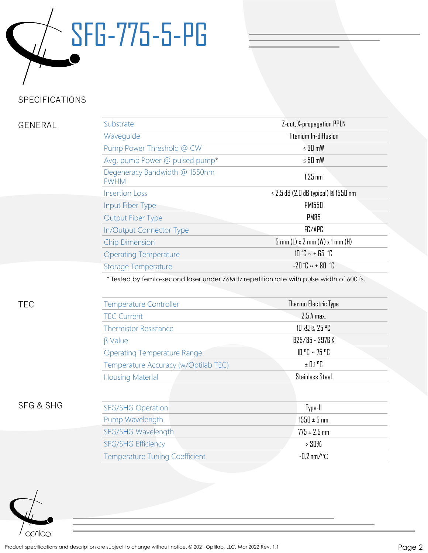

### SPECIFICATIONS

#### GENERAL

| Substrate                                    | Z-cut, X-propagation PPLN                    |
|----------------------------------------------|----------------------------------------------|
| Waveguide                                    | Titanium In-diffusion                        |
| Pump Power Threshold @ CW                    | $\leq 30$ mW                                 |
| Avg. pump Power @ pulsed pump*               | $\le$ 50 mW                                  |
| Degeneracy Bandwidth @ 1550nm<br><b>FWHM</b> | $1.25$ nm                                    |
| <b>Insertion Loss</b>                        | $\leq$ 2.5 dB (2.0 dB typical) @ 1550 nm     |
| Input Fiber Type                             | PM1550                                       |
| <b>Output Fiber Type</b>                     | PM85                                         |
| <b>In/Output Connector Type</b>              | FC/APC                                       |
| <b>Chip Dimension</b>                        | $5$ mm (L) x 2 mm (W) x 1 mm (H)             |
| <b>Operating Temperature</b>                 | $10^{\circ}$ C ~ + 65 $^{\circ}$ C           |
| <b>Storage Temperature</b>                   | $-70$ $\degree$ $- + 80$ $\degree$ $\degree$ |
|                                              |                                              |

\* Tested by femto-second laser under 76MHz repetition rate with pulse width of 600 fs.

| TEC                  | <b>Temperature Controller</b>         | Thermo Electric Type                   |
|----------------------|---------------------------------------|----------------------------------------|
|                      | <b>TEC Current</b>                    | 2.5 A max.                             |
|                      | <b>Thermistor Resistance</b>          | 10 kΩ @ 25 °C                          |
|                      | $\beta$ Value                         | B25/85 - 3976 K                        |
|                      | <b>Operating Temperature Range</b>    | $10 \, \text{°C} \sim 75 \, \text{°C}$ |
|                      | Temperature Accuracy (w/Optilab TEC)  | $\pm$ 0.1 °C $\pm$                     |
|                      | <b>Housing Material</b>               | <b>Stainless Steel</b>                 |
|                      |                                       |                                        |
| <b>SFG &amp; SHG</b> | <b>SFG/SHG Operation</b>              | Type-II                                |
|                      | Pump Wavelength                       | $1550 \pm 5$ nm                        |
|                      | SFG/SHG Wavelength                    | $775 \pm 2.5$ nm                       |
|                      | <b>SFG/SHG Efficiency</b>             | $>30\%$                                |
|                      | <b>Temperature Tuning Coefficient</b> | $-0.2$ nm/ $\degree$ C                 |



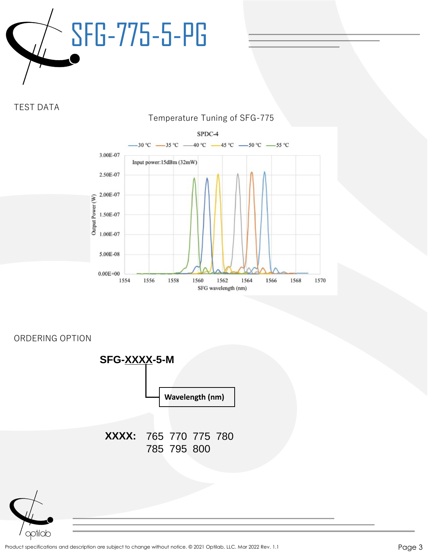

TEST DATA



ORDERING OPTION





Product specifications and description are subject to change without notice. © 2021 Optilab, LLC. Mar 2022 Rev. 1.1 Page 3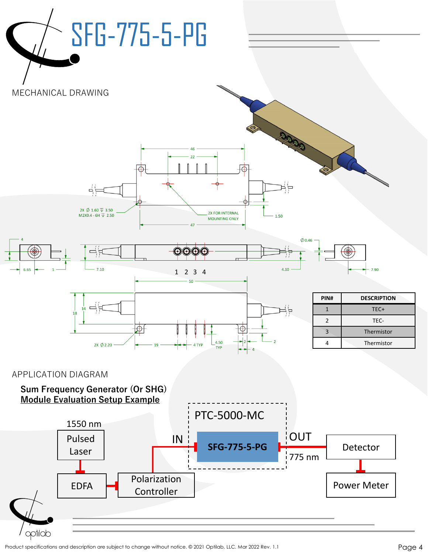

Product specifications and description are subject to change without notice. © 2021 Optilab, LLC. Mar 2022 Rev. 1.1 Page 4